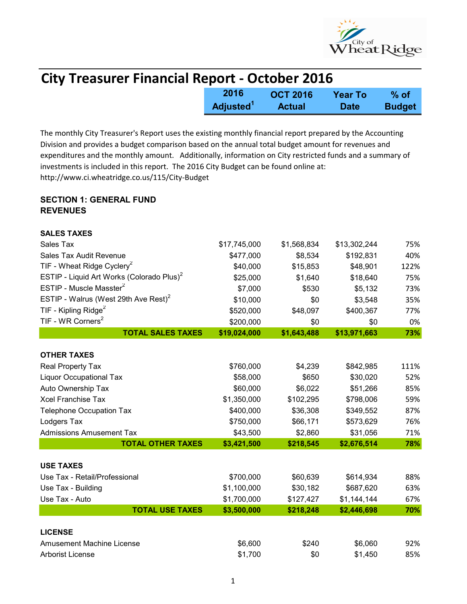

| <b>City Treasurer Financial Report - October 2016</b> |                       |                 |                |               |  |
|-------------------------------------------------------|-----------------------|-----------------|----------------|---------------|--|
|                                                       | 2016                  | <b>OCT 2016</b> | <b>Year To</b> | $%$ of        |  |
|                                                       | Adjusted <sup>1</sup> | <b>Actual</b>   | <b>Date</b>    | <b>Budget</b> |  |

The monthly City Treasurer's Report uses the existing monthly financial report prepared by the Accounting Division and provides a budget comparison based on the annual total budget amount for revenues and expenditures and the monthly amount. Additionally, information on City restricted funds and a summary of investments is included in this report. The 2016 City Budget can be found online at: http://www.ci.wheatridge.co.us/115/City-Budget

## SECTION 1: GENERAL FUND **REVENUES**

| <b>SALES TAXES</b>                                    |              |             |              |      |
|-------------------------------------------------------|--------------|-------------|--------------|------|
| Sales Tax                                             | \$17,745,000 | \$1,568,834 | \$13,302,244 | 75%  |
| Sales Tax Audit Revenue                               | \$477,000    | \$8,534     | \$192,831    | 40%  |
| TIF - Wheat Ridge Cyclery <sup>2</sup>                | \$40,000     | \$15,853    | \$48,901     | 122% |
| ESTIP - Liquid Art Works (Colorado Plus) <sup>2</sup> | \$25,000     | \$1,640     | \$18,640     | 75%  |
| ESTIP - Muscle Masster <sup>2</sup>                   | \$7,000      | \$530       | \$5,132      | 73%  |
| ESTIP - Walrus (West 29th Ave Rest) $2$               | \$10,000     | \$0         | \$3,548      | 35%  |
| TIF - Kipling Ridge <sup>2</sup>                      | \$520,000    | \$48,097    | \$400,367    | 77%  |
| TIF - WR Corners <sup>2</sup>                         | \$200,000    | \$0         | \$0          | 0%   |
| <b>TOTAL SALES TAXES</b>                              | \$19,024,000 | \$1,643,488 | \$13,971,663 | 73%  |
|                                                       |              |             |              |      |
| <b>OTHER TAXES</b>                                    |              |             |              |      |
| Real Property Tax                                     | \$760,000    | \$4,239     | \$842,985    | 111% |
| <b>Liquor Occupational Tax</b>                        | \$58,000     | \$650       | \$30,020     | 52%  |
| Auto Ownership Tax                                    | \$60,000     | \$6,022     | \$51,266     | 85%  |
| <b>Xcel Franchise Tax</b>                             | \$1,350,000  | \$102,295   | \$798,006    | 59%  |
| <b>Telephone Occupation Tax</b>                       | \$400,000    | \$36,308    | \$349,552    | 87%  |
| Lodgers Tax                                           | \$750,000    | \$66,171    | \$573,629    | 76%  |
| <b>Admissions Amusement Tax</b>                       | \$43,500     | \$2,860     | \$31,056     | 71%  |
| <b>TOTAL OTHER TAXES</b>                              | \$3,421,500  | \$218,545   | \$2,676,514  | 78%  |
|                                                       |              |             |              |      |
| <b>USE TAXES</b>                                      |              |             |              |      |
| Use Tax - Retail/Professional                         | \$700,000    | \$60,639    | \$614,934    | 88%  |
| Use Tax - Building                                    | \$1,100,000  | \$30,182    | \$687,620    | 63%  |
| Use Tax - Auto                                        | \$1,700,000  | \$127,427   | \$1,144,144  | 67%  |
| <b>TOTAL USE TAXES</b>                                | \$3,500,000  | \$218,248   | \$2,446,698  | 70%  |
| <b>LICENSE</b>                                        |              |             |              |      |
| <b>Amusement Machine License</b>                      | \$6,600      | \$240       | \$6,060      | 92%  |
| <b>Arborist License</b>                               | \$1,700      | \$0         | \$1,450      | 85%  |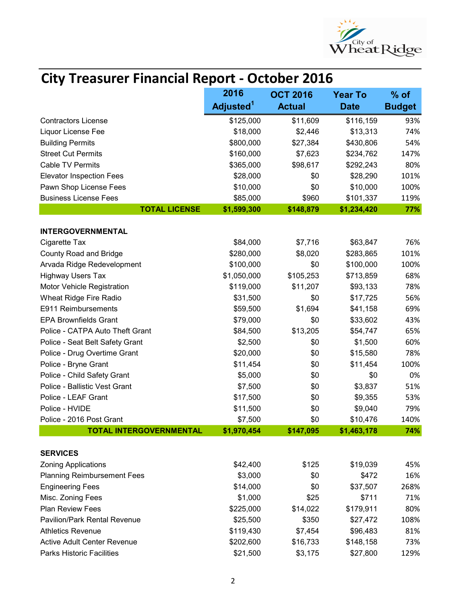

## City Treasurer Financial Report - October 2016

|                                     | 2016                  | <b>OCT 2016</b> | <b>Year To</b> | $%$ of        |
|-------------------------------------|-----------------------|-----------------|----------------|---------------|
|                                     | Adjusted <sup>1</sup> | <b>Actual</b>   | <b>Date</b>    | <b>Budget</b> |
| <b>Contractors License</b>          | \$125,000             | \$11,609        | \$116,159      | 93%           |
| Liquor License Fee                  | \$18,000              | \$2,446         | \$13,313       | 74%           |
| <b>Building Permits</b>             | \$800,000             | \$27,384        | \$430,806      | 54%           |
| <b>Street Cut Permits</b>           | \$160,000             | \$7,623         | \$234,762      | 147%          |
| <b>Cable TV Permits</b>             | \$365,000             | \$98,617        | \$292,243      | 80%           |
| <b>Elevator Inspection Fees</b>     | \$28,000              | \$0             | \$28,290       | 101%          |
| Pawn Shop License Fees              | \$10,000              | \$0             | \$10,000       | 100%          |
| <b>Business License Fees</b>        | \$85,000              | \$960           | \$101,337      | 119%          |
| <b>TOTAL LICENSE</b>                | \$1,599,300           | \$148,879       | \$1,234,420    | 77%           |
| <b>INTERGOVERNMENTAL</b>            |                       |                 |                |               |
| Cigarette Tax                       | \$84,000              | \$7,716         | \$63,847       | 76%           |
| <b>County Road and Bridge</b>       | \$280,000             | \$8,020         | \$283,865      | 101%          |
| Arvada Ridge Redevelopment          | \$100,000             | \$0             | \$100,000      | 100%          |
| <b>Highway Users Tax</b>            | \$1,050,000           | \$105,253       | \$713,859      | 68%           |
| Motor Vehicle Registration          | \$119,000             | \$11,207        | \$93,133       | 78%           |
| Wheat Ridge Fire Radio              | \$31,500              | \$0             | \$17,725       | 56%           |
| E911 Reimbursements                 | \$59,500              | \$1,694         | \$41,158       | 69%           |
| <b>EPA Brownfields Grant</b>        | \$79,000              | \$0             | \$33,602       | 43%           |
| Police - CATPA Auto Theft Grant     | \$84,500              | \$13,205        | \$54,747       | 65%           |
| Police - Seat Belt Safety Grant     | \$2,500               | \$0             | \$1,500        | 60%           |
| Police - Drug Overtime Grant        | \$20,000              | \$0             | \$15,580       | 78%           |
| Police - Bryne Grant                | \$11,454              | \$0             | \$11,454       | 100%          |
| Police - Child Safety Grant         | \$5,000               | \$0             | \$0            | 0%            |
| Police - Ballistic Vest Grant       | \$7,500               | \$0             | \$3,837        | 51%           |
| Police - LEAF Grant                 | \$17,500              | \$0             | \$9,355        | 53%           |
| Police - HVIDE                      | \$11,500              | \$0             | \$9,040        | 79%           |
| Police - 2016 Post Grant            | \$7,500               | \$0             | \$10,476       | 140%          |
| <b>TOTAL INTERGOVERNMENTAL</b>      | \$1,970,454           | \$147,095       | \$1,463,178    | 74%           |
| <b>SERVICES</b>                     |                       |                 |                |               |
| <b>Zoning Applications</b>          | \$42,400              | \$125           | \$19,039       | 45%           |
| <b>Planning Reimbursement Fees</b>  | \$3,000               | \$0             | \$472          | 16%           |
| <b>Engineering Fees</b>             | \$14,000              | \$0             | \$37,507       | 268%          |
| Misc. Zoning Fees                   | \$1,000               | \$25            | \$711          | 71%           |
| Plan Review Fees                    | \$225,000             | \$14,022        | \$179,911      | 80%           |
| <b>Pavilion/Park Rental Revenue</b> | \$25,500              | \$350           | \$27,472       | 108%          |
| <b>Athletics Revenue</b>            | \$119,430             | \$7,454         | \$96,483       | 81%           |
| <b>Active Adult Center Revenue</b>  | \$202,600             | \$16,733        | \$148,158      | 73%           |
| <b>Parks Historic Facilities</b>    | \$21,500              | \$3,175         | \$27,800       | 129%          |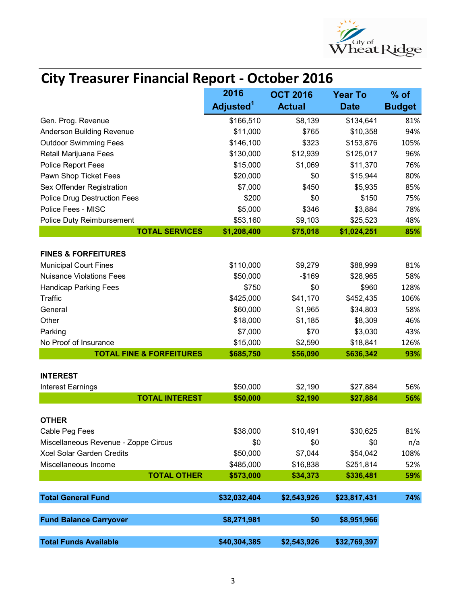

## City Treasurer Financial Report - October 2016

|                                      | 2016                  | <b>OCT 2016</b> | <b>Year To</b> | $%$ of        |
|--------------------------------------|-----------------------|-----------------|----------------|---------------|
|                                      | Adjusted <sup>1</sup> | <b>Actual</b>   | <b>Date</b>    | <b>Budget</b> |
| Gen. Prog. Revenue                   | \$166,510             | \$8,139         | \$134,641      | 81%           |
| Anderson Building Revenue            | \$11,000              | \$765           | \$10,358       | 94%           |
| <b>Outdoor Swimming Fees</b>         | \$146,100             | \$323           | \$153,876      | 105%          |
| Retail Marijuana Fees                | \$130,000             | \$12,939        | \$125,017      | 96%           |
| Police Report Fees                   | \$15,000              | \$1,069         | \$11,370       | 76%           |
| Pawn Shop Ticket Fees                | \$20,000              | \$0             | \$15,944       | 80%           |
| Sex Offender Registration            | \$7,000               | \$450           | \$5,935        | 85%           |
| <b>Police Drug Destruction Fees</b>  | \$200                 | \$0             | \$150          | 75%           |
| Police Fees - MISC                   | \$5,000               | \$346           | \$3,884        | 78%           |
| Police Duty Reimbursement            | \$53,160              | \$9,103         | \$25,523       | 48%           |
| <b>TOTAL SERVICES</b>                | \$1,208,400           | \$75,018        | \$1,024,251    | 85%           |
| <b>FINES &amp; FORFEITURES</b>       |                       |                 |                |               |
| <b>Municipal Court Fines</b>         | \$110,000             | \$9,279         | \$88,999       | 81%           |
| <b>Nuisance Violations Fees</b>      | \$50,000              | $-$169$         | \$28,965       | 58%           |
| <b>Handicap Parking Fees</b>         | \$750                 | \$0             | \$960          | 128%          |
| Traffic                              | \$425,000             | \$41,170        | \$452,435      | 106%          |
| General                              | \$60,000              | \$1,965         | \$34,803       | 58%           |
| Other                                | \$18,000              | \$1,185         | \$8,309        | 46%           |
| Parking                              | \$7,000               | \$70            | \$3,030        | 43%           |
| No Proof of Insurance                | \$15,000              | \$2,590         | \$18,841       | 126%          |
| <b>TOTAL FINE &amp; FORFEITURES</b>  | \$685,750             | \$56,090        | \$636,342      | 93%           |
| <b>INTEREST</b>                      |                       |                 |                |               |
| <b>Interest Earnings</b>             | \$50,000              | \$2,190         | \$27,884       | 56%           |
| <b>TOTAL INTEREST</b>                | \$50,000              | \$2,190         | \$27,884       | 56%           |
|                                      |                       |                 |                |               |
| <b>OTHER</b>                         |                       |                 |                |               |
| Cable Peg Fees                       | \$38,000              | \$10,491        | \$30,625       | 81%           |
| Miscellaneous Revenue - Zoppe Circus | \$0                   | \$0             | \$0            | n/a           |
| Xcel Solar Garden Credits            | \$50,000              | \$7,044         | \$54,042       | 108%          |
| Miscellaneous Income                 | \$485,000             | \$16,838        | \$251,814      | 52%           |
| <b>TOTAL OTHER</b>                   | \$573,000             | \$34,373        | \$336,481      | 59%           |
| <b>Total General Fund</b>            | \$32,032,404          | \$2,543,926     | \$23,817,431   | 74%           |
| <b>Fund Balance Carryover</b>        | \$8,271,981           | \$0             | \$8,951,966    |               |
| <b>Total Funds Available</b>         | \$40,304,385          | \$2,543,926     | \$32,769,397   |               |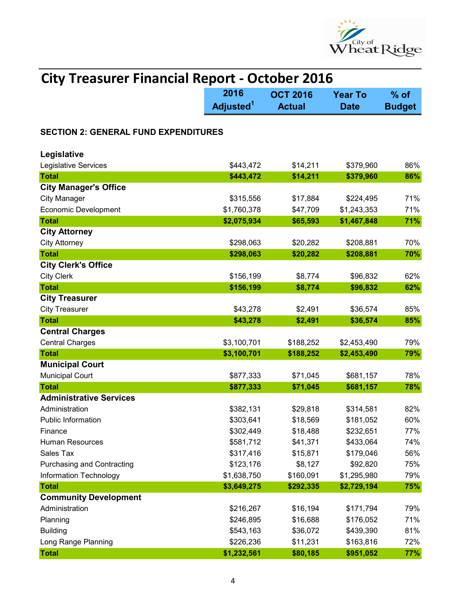

| <b>City Treasurer Financial Report - October 2016</b> |                               |                                  |                               |                         |  |
|-------------------------------------------------------|-------------------------------|----------------------------------|-------------------------------|-------------------------|--|
|                                                       | 2016<br>Adjusted <sup>1</sup> | <b>OCT 2016</b><br><b>Actual</b> | <b>Year To</b><br><b>Date</b> | $%$ of<br><b>Budget</b> |  |
| <b>SECTION 2: GENERAL FUND EXPENDITURES</b>           |                               |                                  |                               |                         |  |
| Legislative                                           |                               |                                  |                               |                         |  |
| Legislative Services                                  | \$443,472                     | \$14,211                         | \$379,960                     | 86%                     |  |
| <b>Total</b>                                          | \$443,472                     | \$14,211                         | \$379,960                     | 86%                     |  |
| <b>City Manager's Office</b>                          |                               |                                  |                               |                         |  |
| <b>City Manager</b>                                   | \$315,556                     | \$17,884                         | \$224,495                     | 71%                     |  |
| <b>Economic Development</b>                           | \$1,760,378                   | \$47,709                         | \$1,243,353                   | 71%                     |  |
| <b>Total</b>                                          | \$2,075,934                   | \$65,593                         | \$1,467,848                   | 71%                     |  |
| <b>City Attorney</b>                                  |                               |                                  |                               |                         |  |
| <b>City Attorney</b>                                  | \$298,063                     | \$20,282                         | \$208,881                     | 70%                     |  |
| <b>Total</b>                                          | \$298,063                     | \$20,282                         | \$208,881                     | 70%                     |  |
| <b>City Clerk's Office</b>                            |                               |                                  |                               |                         |  |
| <b>City Clerk</b>                                     | \$156,199                     | \$8,774                          | \$96,832                      | 62%                     |  |
| <b>Total</b>                                          | \$156,199                     | \$8,774                          | \$96,832                      | 62%                     |  |
| <b>City Treasurer</b>                                 |                               |                                  |                               |                         |  |
| <b>City Treasurer</b>                                 | \$43,278                      | \$2,491                          | \$36,574                      | 85%                     |  |
| <b>Total</b>                                          | \$43,278                      | \$2,491                          | \$36,574                      | 85%                     |  |
| <b>Central Charges</b>                                |                               |                                  |                               |                         |  |
| <b>Central Charges</b>                                | \$3,100,701                   | \$188,252                        | \$2,453,490                   | 79%                     |  |
| <b>Total</b>                                          | \$3,100,701                   | \$188,252                        | \$2,453,490                   | 79%                     |  |
| <b>Municipal Court</b>                                |                               |                                  |                               |                         |  |
| <b>Municipal Court</b>                                | \$877,333                     | \$71,045                         | \$681,157                     | 78%                     |  |
| <b>Total</b>                                          | \$877,333                     | \$71,045                         | \$681,157                     | 78%                     |  |
| <b>Administrative Services</b>                        |                               |                                  |                               |                         |  |
| Administration                                        | \$382,131                     | \$29,818                         | \$314,581                     | 82%                     |  |
| <b>Public Information</b>                             | \$303,641                     | \$18,569                         | \$181,052                     | 60%                     |  |
| Finance                                               | \$302,449                     | \$18,488                         | \$232,651                     | 77%                     |  |
| <b>Human Resources</b>                                | \$581,712                     | \$41,371                         | \$433,064                     | 74%                     |  |
| Sales Tax                                             | \$317,416                     | \$15,871                         | \$179,046                     | 56%                     |  |
| <b>Purchasing and Contracting</b>                     | \$123,176                     | \$8,127                          | \$92,820                      | 75%                     |  |
| <b>Information Technology</b>                         | \$1,638,750                   | \$160,091                        | \$1,295,980                   | 79%                     |  |
| <b>Total</b>                                          | \$3,649,275                   | \$292,335                        | \$2,729,194                   | 75%                     |  |
| <b>Community Development</b>                          |                               |                                  |                               |                         |  |
| Administration                                        | \$216,267                     | \$16,194                         | \$171,794                     | 79%                     |  |
| Planning                                              | \$246,895                     | \$16,688                         | \$176,052                     | 71%                     |  |
| <b>Building</b>                                       | \$543,163                     | \$36,072                         | \$439,390                     | 81%                     |  |
| Long Range Planning                                   | \$226,236                     | \$11,231                         | \$163,816                     | 72%                     |  |
| <b>Total</b>                                          | \$1,232,561                   | \$80,185                         | \$951,052                     | 77%                     |  |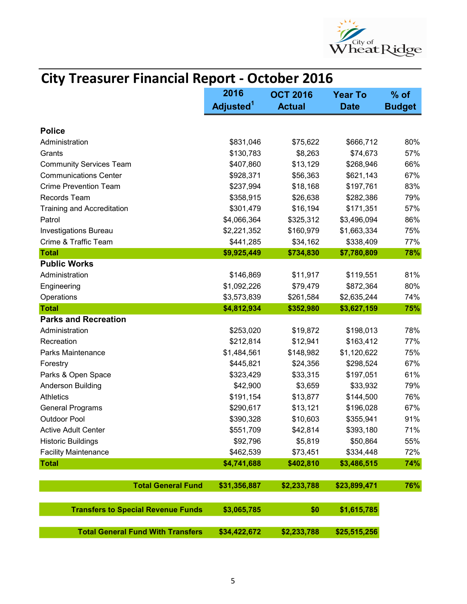

|                                           |                       | <b>City Treasurer Financial Report - October 2016</b> |                |               |  |
|-------------------------------------------|-----------------------|-------------------------------------------------------|----------------|---------------|--|
|                                           | 2016                  | <b>OCT 2016</b>                                       | <b>Year To</b> | $%$ of        |  |
|                                           | Adjusted <sup>1</sup> | <b>Actual</b>                                         | <b>Date</b>    | <b>Budget</b> |  |
| <b>Police</b>                             |                       |                                                       |                |               |  |
| Administration                            | \$831,046             | \$75,622                                              | \$666,712      | 80%           |  |
| Grants                                    | \$130,783             | \$8,263                                               | \$74,673       | 57%           |  |
| <b>Community Services Team</b>            | \$407,860             | \$13,129                                              | \$268,946      | 66%           |  |
| <b>Communications Center</b>              | \$928,371             | \$56,363                                              | \$621,143      | 67%           |  |
| <b>Crime Prevention Team</b>              | \$237,994             | \$18,168                                              | \$197,761      | 83%           |  |
| Records Team                              | \$358,915             | \$26,638                                              | \$282,386      | 79%           |  |
| <b>Training and Accreditation</b>         | \$301,479             | \$16,194                                              | \$171,351      | 57%           |  |
| Patrol                                    | \$4,066,364           | \$325,312                                             | \$3,496,094    | 86%           |  |
| <b>Investigations Bureau</b>              | \$2,221,352           | \$160,979                                             | \$1,663,334    | 75%           |  |
| Crime & Traffic Team                      | \$441,285             | \$34,162                                              | \$338,409      | 77%           |  |
| <b>Total</b>                              | \$9,925,449           | \$734,830                                             | \$7,780,809    | 78%           |  |
| <b>Public Works</b>                       |                       |                                                       |                |               |  |
| Administration                            | \$146,869             | \$11,917                                              | \$119,551      | 81%           |  |
| Engineering                               | \$1,092,226           | \$79,479                                              | \$872,364      | 80%           |  |
| Operations                                | \$3,573,839           | \$261,584                                             | \$2,635,244    | 74%           |  |
| <b>Total</b>                              | \$4,812,934           | \$352,980                                             | \$3,627,159    | 75%           |  |
| <b>Parks and Recreation</b>               |                       |                                                       |                |               |  |
| Administration                            | \$253,020             | \$19,872                                              | \$198,013      | 78%           |  |
| Recreation                                | \$212,814             | \$12,941                                              | \$163,412      | 77%           |  |
| Parks Maintenance                         | \$1,484,561           | \$148,982                                             | \$1,120,622    | 75%           |  |
| Forestry                                  | \$445,821             | \$24,356                                              | \$298,524      | 67%           |  |
| Parks & Open Space                        | \$323,429             | \$33,315                                              | \$197,051      | 61%           |  |
| <b>Anderson Building</b>                  | \$42,900              | \$3,659                                               | \$33,932       | 79%           |  |
| <b>Athletics</b>                          | \$191,154             | \$13,877                                              | \$144,500      | 76%           |  |
| <b>General Programs</b>                   | \$290,617             | \$13,121                                              | \$196,028      | 67%           |  |
| <b>Outdoor Pool</b>                       | \$390,328             | \$10,603                                              | \$355,941      | 91%           |  |
| <b>Active Adult Center</b>                | \$551,709             | \$42,814                                              | \$393,180      | 71%           |  |
| <b>Historic Buildings</b>                 | \$92,796              | \$5,819                                               | \$50,864       | 55%           |  |
| <b>Facility Maintenance</b>               | \$462,539             | \$73,451                                              | \$334,448      | 72%           |  |
| <b>Total</b>                              | \$4,741,688           | \$402,810                                             | \$3,486,515    | 74%           |  |
| <b>Total General Fund</b>                 | \$31,356,887          | \$2,233,788                                           | \$23,899,471   | 76%           |  |
| <b>Transfers to Special Revenue Funds</b> | \$3,065,785           | \$0                                                   | \$1,615,785    |               |  |
|                                           |                       |                                                       |                |               |  |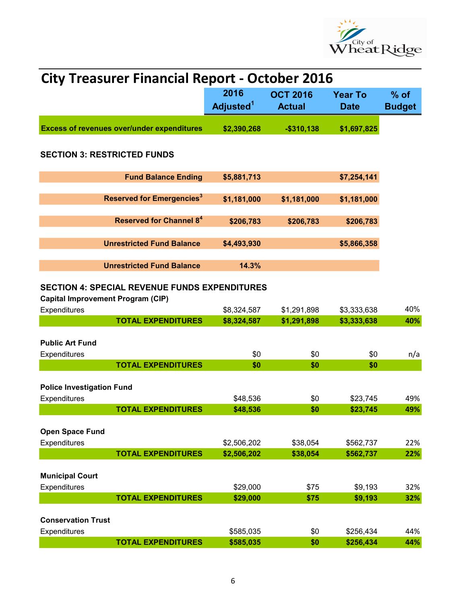

| <b>City Treasurer Financial Report - October 2016</b>                                            |  |                               |                                  |                               |                         |  |  |
|--------------------------------------------------------------------------------------------------|--|-------------------------------|----------------------------------|-------------------------------|-------------------------|--|--|
|                                                                                                  |  | 2016<br>Adjusted <sup>1</sup> | <b>OCT 2016</b><br><b>Actual</b> | <b>Year To</b><br><b>Date</b> | $%$ of<br><b>Budget</b> |  |  |
| <b>Excess of revenues over/under expenditures</b>                                                |  | \$2,390,268                   | $-$310,138$                      | \$1,697,825                   |                         |  |  |
| <b>SECTION 3: RESTRICTED FUNDS</b>                                                               |  |                               |                                  |                               |                         |  |  |
| <b>Fund Balance Ending</b>                                                                       |  | \$5,881,713                   |                                  | \$7,254,141                   |                         |  |  |
| <b>Reserved for Emergencies<sup>3</sup></b>                                                      |  | \$1,181,000                   | \$1,181,000                      | \$1,181,000                   |                         |  |  |
| <b>Reserved for Channel 84</b>                                                                   |  | \$206,783                     | \$206,783                        | \$206,783                     |                         |  |  |
| <b>Unrestricted Fund Balance</b>                                                                 |  | \$4,493,930                   |                                  | \$5,866,358                   |                         |  |  |
| <b>Unrestricted Fund Balance</b>                                                                 |  | 14.3%                         |                                  |                               |                         |  |  |
| <b>SECTION 4: SPECIAL REVENUE FUNDS EXPENDITURES</b><br><b>Capital Improvement Program (CIP)</b> |  |                               |                                  |                               |                         |  |  |
| Expenditures                                                                                     |  | \$8,324,587                   | \$1,291,898                      | \$3,333,638                   | 40%                     |  |  |
| <b>TOTAL EXPENDITURES</b>                                                                        |  | \$8,324,587                   | \$1,291,898                      | \$3,333,638                   | 40%                     |  |  |
| <b>Public Art Fund</b>                                                                           |  |                               |                                  |                               |                         |  |  |
| Expenditures<br><b>TOTAL EXPENDITURES</b>                                                        |  | \$0                           | \$0                              | \$0                           | n/a                     |  |  |
|                                                                                                  |  | \$0                           | \$0                              | \$0                           |                         |  |  |
| <b>Police Investigation Fund</b>                                                                 |  |                               |                                  |                               |                         |  |  |
| Expenditures                                                                                     |  | \$48,536                      | \$0                              | \$23,745                      | 49%                     |  |  |
| <b>TOTAL EXPENDITURES</b>                                                                        |  | \$48,536                      | \$0                              | \$23,745                      | 49%                     |  |  |
| <b>Open Space Fund</b>                                                                           |  |                               |                                  |                               |                         |  |  |
| Expenditures                                                                                     |  | \$2,506,202                   | \$38,054                         | \$562,737                     | 22%                     |  |  |
| <b>TOTAL EXPENDITURES</b>                                                                        |  | \$2,506,202                   | \$38,054                         | \$562,737                     | 22%                     |  |  |
| <b>Municipal Court</b>                                                                           |  |                               |                                  |                               |                         |  |  |
| Expenditures                                                                                     |  | \$29,000                      | \$75                             | \$9,193                       | 32%                     |  |  |
| <b>TOTAL EXPENDITURES</b>                                                                        |  | \$29,000                      | \$75                             | \$9,193                       | 32%                     |  |  |
| <b>Conservation Trust</b>                                                                        |  |                               |                                  |                               |                         |  |  |
| Expenditures                                                                                     |  | \$585,035                     | \$0                              | \$256,434                     | 44%                     |  |  |
| <b>TOTAL EXPENDITURES</b>                                                                        |  | \$585,035                     | \$0                              | \$256,434                     | 44%                     |  |  |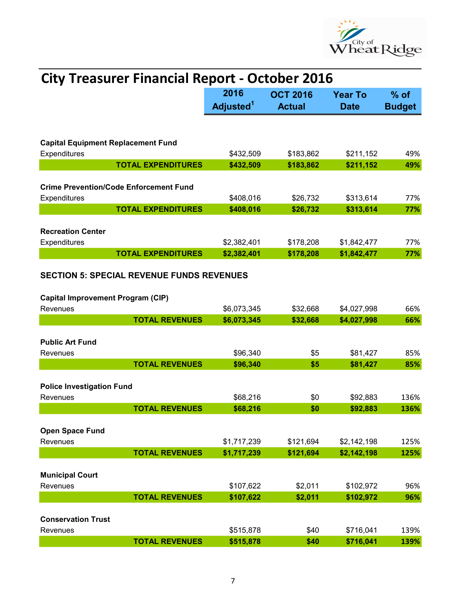

| <b>City Treasurer Financial Report - October 2016</b>         |                                                  |                               |                               |                         |            |  |
|---------------------------------------------------------------|--------------------------------------------------|-------------------------------|-------------------------------|-------------------------|------------|--|
|                                                               |                                                  | 2016<br>Adjusted <sup>1</sup> | <b>Year To</b><br><b>Date</b> | $%$ of<br><b>Budget</b> |            |  |
|                                                               |                                                  |                               |                               |                         |            |  |
| <b>Capital Equipment Replacement Fund</b>                     |                                                  |                               |                               |                         |            |  |
| Expenditures                                                  | <b>TOTAL EXPENDITURES</b>                        | \$432,509<br>\$432,509        | \$183,862<br>\$183,862        | \$211,152<br>\$211,152  | 49%<br>49% |  |
|                                                               |                                                  |                               |                               |                         |            |  |
| <b>Crime Prevention/Code Enforcement Fund</b><br>Expenditures |                                                  | \$408,016                     | \$26,732                      | \$313,614               | 77%        |  |
|                                                               | <b>TOTAL EXPENDITURES</b>                        | \$408,016                     | \$26,732                      | \$313,614               | 77%        |  |
| <b>Recreation Center</b>                                      |                                                  |                               |                               |                         |            |  |
| Expenditures                                                  |                                                  | \$2,382,401                   | \$178,208                     | \$1,842,477             | 77%        |  |
|                                                               | <b>TOTAL EXPENDITURES</b>                        | \$2,382,401                   | \$178,208                     | \$1,842,477             | 77%        |  |
|                                                               | <b>SECTION 5: SPECIAL REVENUE FUNDS REVENUES</b> |                               |                               |                         |            |  |
| <b>Capital Improvement Program (CIP)</b>                      |                                                  |                               |                               |                         |            |  |
| Revenues                                                      |                                                  | \$6,073,345                   | \$32,668                      | \$4,027,998             | 66%        |  |
|                                                               | <b>TOTAL REVENUES</b>                            | \$6,073,345                   | \$32,668                      | \$4,027,998             | 66%        |  |
| <b>Public Art Fund</b>                                        |                                                  |                               |                               |                         |            |  |
| Revenues                                                      |                                                  | \$96,340                      | \$5                           | \$81,427                | 85%        |  |
|                                                               | <b>TOTAL REVENUES</b>                            | \$96,340                      | \$5                           | \$81,427                | 85%        |  |
| <b>Police Investigation Fund</b>                              |                                                  |                               |                               |                         |            |  |
| Revenues                                                      |                                                  | \$68,216                      | \$0                           | \$92,883                | 136%       |  |
|                                                               | <b>TOTAL REVENUES</b>                            | \$68,216                      | \$0                           | \$92,883                | 136%       |  |
|                                                               |                                                  |                               |                               |                         |            |  |
| Open Space Fund                                               |                                                  |                               |                               |                         |            |  |
| Revenues                                                      |                                                  | \$1,717,239                   | \$121,694                     | \$2,142,198             | 125%       |  |
|                                                               | <b>TOTAL REVENUES</b>                            | \$1,717,239                   | \$121,694                     | \$2,142,198             | 125%       |  |
| <b>Municipal Court</b>                                        |                                                  |                               |                               |                         |            |  |
| Revenues                                                      |                                                  | \$107,622                     | \$2,011                       | \$102,972               | 96%        |  |
|                                                               | <b>TOTAL REVENUES</b>                            | \$107,622                     | \$2,011                       | \$102,972               | 96%        |  |
|                                                               |                                                  |                               |                               |                         |            |  |
| <b>Conservation Trust</b>                                     |                                                  |                               |                               |                         |            |  |
| Revenues                                                      |                                                  | \$515,878                     | \$40                          | \$716,041               | 139%       |  |
|                                                               | <b>TOTAL REVENUES</b>                            | \$515,878                     | \$40                          | \$716,041               | 139%       |  |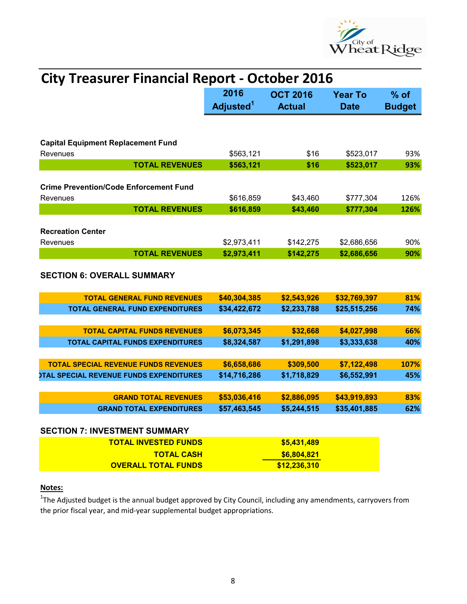

| <b>City Treasurer Financial Report - October 2016</b>                   |                               |                         |              |      |
|-------------------------------------------------------------------------|-------------------------------|-------------------------|--------------|------|
|                                                                         | 2016<br>Adjusted <sup>1</sup> | $%$ of<br><b>Budget</b> |              |      |
|                                                                         |                               | <b>Actual</b>           | <b>Date</b>  |      |
| <b>Capital Equipment Replacement Fund</b>                               |                               |                         |              |      |
| Revenues                                                                | \$563,121                     | \$16                    | \$523,017    | 93%  |
| <b>TOTAL REVENUES</b>                                                   | \$563,121                     | \$16                    | \$523,017    | 93%  |
| <b>Crime Prevention/Code Enforcement Fund</b><br>Revenues               | \$616,859                     | \$43,460                | \$777,304    | 126% |
| <b>TOTAL REVENUES</b>                                                   | \$616,859                     | \$43,460                | \$777,304    | 126% |
|                                                                         |                               |                         |              |      |
| <b>Recreation Center</b><br>Revenues                                    | \$2,973,411                   | \$142,275               | \$2,686,656  | 90%  |
| <b>TOTAL REVENUES</b>                                                   | \$2,973,411                   | \$142,275               | \$2,686,656  | 90%  |
| <b>SECTION 6: OVERALL SUMMARY</b><br><b>TOTAL GENERAL FUND REVENUES</b> | \$40,304,385                  | \$2,543,926             | \$32,769,397 | 81%  |
| <b>TOTAL GENERAL FUND EXPENDITURES</b>                                  | \$34,422,672                  | \$2,233,788             | \$25,515,256 | 74%  |
|                                                                         |                               |                         |              |      |
| <b>TOTAL CAPITAL FUNDS REVENUES</b>                                     | \$6,073,345                   | \$32,668                | \$4,027,998  | 66%  |
| <b>TOTAL CAPITAL FUNDS EXPENDITURES</b>                                 | \$8,324,587                   | \$1,291,898             | \$3,333,638  | 40%  |
|                                                                         |                               |                         |              |      |
| <b>TOTAL SPECIAL REVENUE FUNDS REVENUES</b>                             | \$6,658,686                   | \$309,500               | \$7,122,498  | 107% |
| <b><i>OTAL SPECIAL REVENUE FUNDS EXPENDITURES</i></b>                   | \$14,716,286                  | \$1,718,829             | \$6,552,991  | 45%  |
|                                                                         |                               |                         |              |      |
| <b>GRAND TOTAL REVENUES</b>                                             | \$53,036,416                  | \$2,886,095             | \$43,919,893 | 83%  |
| <b>GRAND TOTAL EXPENDITURES</b>                                         | \$57,463,545                  | \$5,244,515             | \$35,401,885 | 62%  |
| <b>SECTION 7: INVESTMENT SUMMARY</b>                                    |                               |                         |              |      |
| <b>TOTAL INVESTED FUNDS</b>                                             |                               | \$5,431,489             |              |      |
| <b>TOTAL CASH</b>                                                       |                               | \$6,804,821             |              |      |
| <b>OVERALL TOTAL FUNDS</b>                                              |                               | \$12,236,310            |              |      |

## Notes:

 $1$ The Adjusted budget is the annual budget approved by City Council, including any amendments, carryovers from the prior fiscal year, and mid-year supplemental budget appropriations.